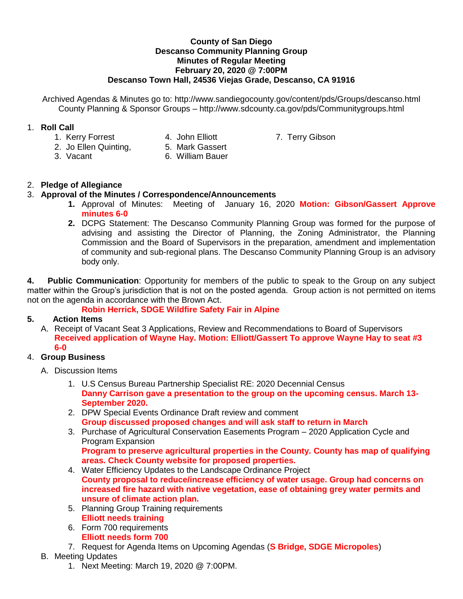#### **County of San Diego Descanso Community Planning Group Minutes of Regular Meeting February 20, 2020 @ 7:00PM Descanso Town Hall, 24536 Viejas Grade, Descanso, CA 91916**

Archived Agendas & Minutes go to: http://www.sandiegocounty.gov/content/pds/Groups/descanso.html County Planning & Sponsor Groups – http://www.sdcounty.ca.gov/pds/Communitygroups.html

## 1. **Roll Call**

- 1. Kerry Forrest **4. John Elliott** 7. Terry Gibson
- 2. Jo Ellen Quinting, 5. Mark Gassert
- 
- 
- 3. Vacant 6. William Bauer

## 2. **Pledge of Allegiance**

### 3. **Approval of the Minutes / Correspondence/Announcements**

- **1.** Approval of Minutes: Meeting of January 16, 2020 **Motion: Gibson/Gassert Approve minutes 6-0**
- **2.** DCPG Statement: The Descanso Community Planning Group was formed for the purpose of advising and assisting the Director of Planning, the Zoning Administrator, the Planning Commission and the Board of Supervisors in the preparation, amendment and implementation of community and sub-regional plans. The Descanso Community Planning Group is an advisory body only.

**4. Public Communication**: Opportunity for members of the public to speak to the Group on any subject matter within the Group's jurisdiction that is not on the posted agenda. Group action is not permitted on items not on the agenda in accordance with the Brown Act.

# **Robin Herrick, SDGE Wildfire Safety Fair in Alpine**

### **5. Action Items**

A. Receipt of Vacant Seat 3 Applications, Review and Recommendations to Board of Supervisors **Received application of Wayne Hay. Motion: Elliott/Gassert To approve Wayne Hay to seat #3 6-0**

# 4. **Group Business**

- A. Discussion Items
	- 1. U.S Census Bureau Partnership Specialist RE: 2020 Decennial Census **Danny Carrison gave a presentation to the group on the upcoming census. March 13- September 2020.**
	- 2. DPW Special Events Ordinance Draft review and comment **Group discussed proposed changes and will ask staff to return in March**
	- 3. Purchase of Agricultural Conservation Easements Program 2020 Application Cycle and Program Expansion **Program to preserve agricultural properties in the County. County has map of qualifying areas. Check County website for proposed properties.**
	- 4. Water Efficiency Updates to the Landscape Ordinance Project **County proposal to reduce/increase efficiency of water usage. Group had concerns on increased fire hazard with native vegetation, ease of obtaining grey water permits and unsure of climate action plan.**
	- 5. Planning Group Training requirements **Elliott needs training**
	- 6. Form 700 requirements **Elliott needs form 700**
	- 7. Request for Agenda Items on Upcoming Agendas (**S Bridge, SDGE Micropoles**)
- B. Meeting Updates
	- 1. Next Meeting: March 19, 2020 @ 7:00PM.